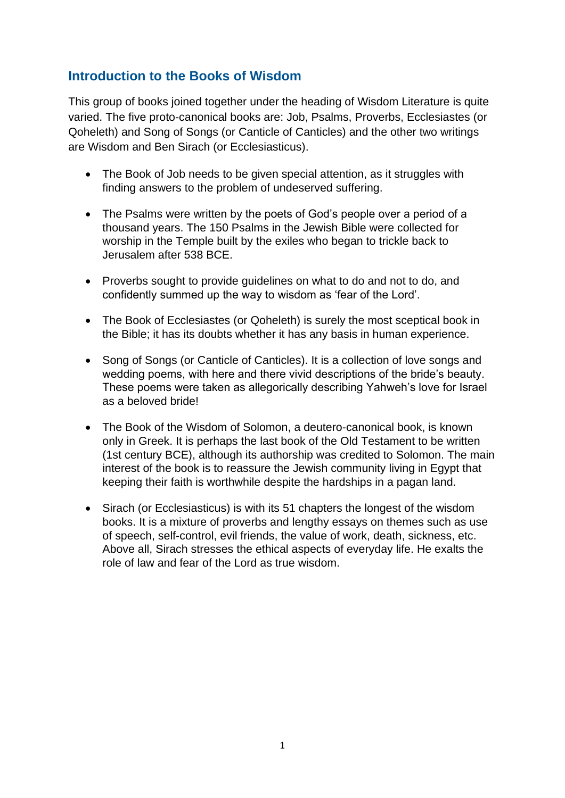# **Introduction to the Books of Wisdom**

This group of books joined together under the heading of Wisdom Literature is quite varied. The five proto-canonical books are: Job, Psalms, Proverbs, Ecclesiastes (or Qoheleth) and Song of Songs (or Canticle of Canticles) and the other two writings are Wisdom and Ben Sirach (or Ecclesiasticus).

- The Book of Job needs to be given special attention, as it struggles with finding answers to the problem of undeserved suffering.
- The Psalms were written by the poets of God's people over a period of a thousand years. The 150 Psalms in the Jewish Bible were collected for worship in the Temple built by the exiles who began to trickle back to Jerusalem after 538 BCE.
- Proverbs sought to provide guidelines on what to do and not to do, and confidently summed up the way to wisdom as 'fear of the Lord'.
- The Book of Ecclesiastes (or Qoheleth) is surely the most sceptical book in the Bible; it has its doubts whether it has any basis in human experience.
- Song of Songs (or Canticle of Canticles). It is a collection of love songs and wedding poems, with here and there vivid descriptions of the bride's beauty. These poems were taken as allegorically describing Yahweh's love for Israel as a beloved bride!
- The Book of the Wisdom of Solomon, a deutero-canonical book, is known only in Greek. It is perhaps the last book of the Old Testament to be written (1st century BCE), although its authorship was credited to Solomon. The main interest of the book is to reassure the Jewish community living in Egypt that keeping their faith is worthwhile despite the hardships in a pagan land.
- Sirach (or Ecclesiasticus) is with its 51 chapters the longest of the wisdom books. It is a mixture of proverbs and lengthy essays on themes such as use of speech, self-control, evil friends, the value of work, death, sickness, etc. Above all, Sirach stresses the ethical aspects of everyday life. He exalts the role of law and fear of the Lord as true wisdom.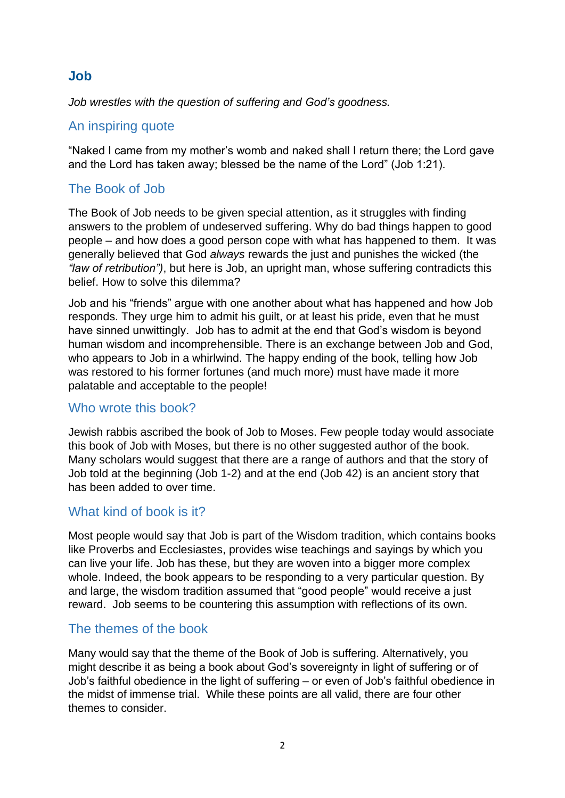## **Job**

*Job wrestles with the question of suffering and God's goodness.*

# An inspiring quote

"Naked I came from my mother's womb and naked shall I return there; the Lord gave and the Lord has taken away; blessed be the name of the Lord" (Job 1:21).

# The Book of Job

The Book of Job needs to be given special attention, as it struggles with finding answers to the problem of undeserved suffering. Why do bad things happen to good people – and how does a good person cope with what has happened to them. It was generally believed that God *always* rewards the just and punishes the wicked (the *"law of retribution")*, but here is Job, an upright man, whose suffering contradicts this belief. How to solve this dilemma?

Job and his "friends" argue with one another about what has happened and how Job responds. They urge him to admit his guilt, or at least his pride, even that he must have sinned unwittingly. Job has to admit at the end that God's wisdom is beyond human wisdom and incomprehensible. There is an exchange between Job and God, who appears to Job in a whirlwind. The happy ending of the book, telling how Job was restored to his former fortunes (and much more) must have made it more palatable and acceptable to the people!

### Who wrote this book?

Jewish rabbis ascribed the book of Job to Moses. Few people today would associate this book of Job with Moses, but there is no other suggested author of the book. Many scholars would suggest that there are a range of authors and that the story of Job told at the beginning (Job 1-2) and at the end (Job 42) is an ancient story that has been added to over time.

# What kind of book is it?

Most people would say that Job is part of the Wisdom tradition, which contains books like Proverbs and Ecclesiastes, provides wise teachings and sayings by which you can live your life. Job has these, but they are woven into a bigger more complex whole. Indeed, the book appears to be responding to a very particular question. By and large, the wisdom tradition assumed that "good people" would receive a just reward. Job seems to be countering this assumption with reflections of its own.

# The themes of the book

Many would say that the theme of the Book of Job is suffering. Alternatively, you might describe it as being a book about God's sovereignty in light of suffering or of Job's faithful obedience in the light of suffering – or even of Job's faithful obedience in the midst of immense trial. While these points are all valid, there are four other themes to consider.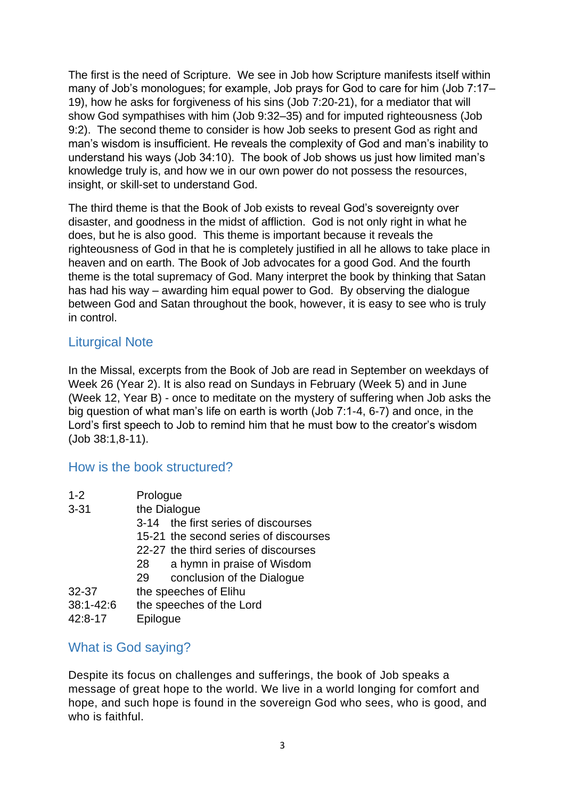The first is the need of Scripture. We see in Job how Scripture manifests itself within many of Job's monologues; for example, Job prays for God to care for him (Job 7:17– 19), how he asks for forgiveness of his sins (Job 7:20-21), for a mediator that will show God sympathises with him (Job 9:32–35) and for imputed righteousness (Job 9:2). The second theme to consider is how Job seeks to present God as right and man's wisdom is insufficient. He reveals the complexity of God and man's inability to understand his ways (Job 34:10). The book of Job shows us just how limited man's knowledge truly is, and how we in our own power do not possess the resources, insight, or skill-set to understand God.

The third theme is that the Book of Job exists to reveal God's sovereignty over disaster, and goodness in the midst of affliction. God is not only right in what he does, but he is also good. This theme is important because it reveals the righteousness of God in that he is completely justified in all he allows to take place in heaven and on earth. The Book of Job advocates for a good God. And the fourth theme is the total supremacy of God. Many interpret the book by thinking that Satan has had his way – awarding him equal power to God. By observing the dialogue between God and Satan throughout the book, however, it is easy to see who is truly in control.

### Liturgical Note

In the Missal, excerpts from the Book of Job are read in September on weekdays of Week 26 (Year 2). It is also read on Sundays in February (Week 5) and in June (Week 12, Year B) - once to meditate on the mystery of suffering when Job asks the big question of what man's life on earth is worth (Job 7:1-4, 6-7) and once, in the Lord's first speech to Job to remind him that he must bow to the creator's wisdom (Job 38:1,8-11).

### How is the book structured?

| $1 - 2$   | Prologue |                                       |
|-----------|----------|---------------------------------------|
| $3 - 31$  |          | the Dialogue                          |
|           |          | 3-14 the first series of discourses   |
|           |          | 15-21 the second series of discourses |
|           |          | 22-27 the third series of discourses  |
|           | 28       | a hymn in praise of Wisdom            |
|           | 29       | conclusion of the Dialogue            |
| 32-37     |          | the speeches of Elihu                 |
| 38:1-42:6 |          | the speeches of the Lord              |
|           |          |                                       |

42:8-17 Epilogue

# What is God saying?

Despite its focus on challenges and sufferings, the book of Job speaks a message of great hope to the world. We live in a world longing for comfort and hope, and such hope is found in the sovereign God who sees, who is good, and who is faithful.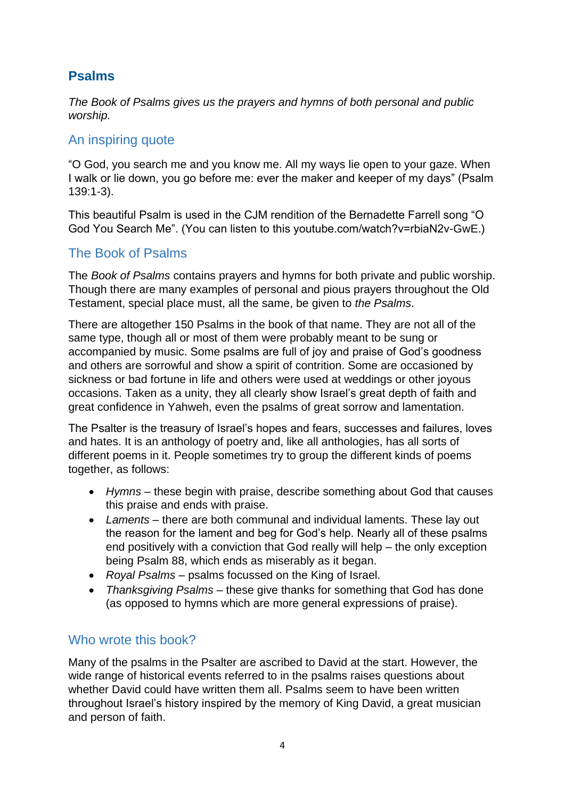# **Psalms**

*The Book of Psalms gives us the prayers and hymns of both personal and public worship.*

# An inspiring quote

"O God, you search me and you know me. All my ways lie open to your gaze. When I walk or lie down, you go before me: ever the maker and keeper of my days" (Psalm 139:1-3).

This beautiful Psalm is used in the CJM rendition of the Bernadette Farrell song "O God You Search Me". (You can listen to this youtube.com/watch?v=rbiaN2v-GwE.)

# The Book of Psalms

The *Book of Psalms* contains prayers and hymns for both private and public worship. Though there are many examples of personal and pious prayers throughout the Old Testament, special place must, all the same, be given to *the Psalms*.

There are altogether 150 Psalms in the book of that name. They are not all of the same type, though all or most of them were probably meant to be sung or accompanied by music. Some psalms are full of joy and praise of God's goodness and others are sorrowful and show a spirit of contrition. Some are occasioned by sickness or bad fortune in life and others were used at weddings or other joyous occasions. Taken as a unity, they all clearly show Israel's great depth of faith and great confidence in Yahweh, even the psalms of great sorrow and lamentation.

The Psalter is the treasury of Israel's hopes and fears, successes and failures, loves and hates. It is an anthology of poetry and, like all anthologies, has all sorts of different poems in it. People sometimes try to group the different kinds of poems together, as follows:

- *Hymns* these begin with praise, describe something about God that causes this praise and ends with praise.
- *Laments* there are both communal and individual laments. These lay out the reason for the lament and beg for God's help. Nearly all of these psalms end positively with a conviction that God really will help – the only exception being Psalm 88, which ends as miserably as it began.
- *Royal Psalms* psalms focussed on the King of Israel.
- *Thanksgiving Psalms*  these give thanks for something that God has done (as opposed to hymns which are more general expressions of praise).

# Who wrote this book?

Many of the psalms in the Psalter are ascribed to David at the start. However, the wide range of historical events referred to in the psalms raises questions about whether David could have written them all. Psalms seem to have been written throughout Israel's history inspired by the memory of King David, a great musician and person of faith.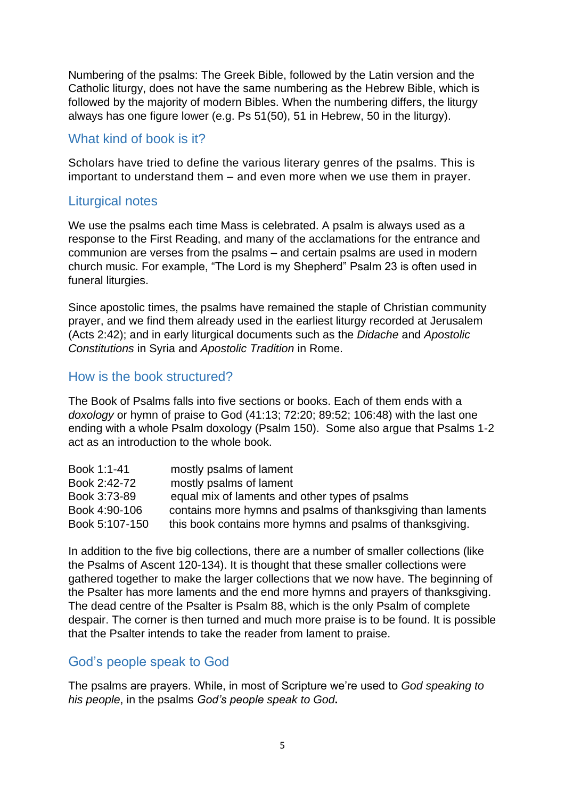Numbering of the psalms: The Greek Bible, followed by the Latin version and the Catholic liturgy, does not have the same numbering as the Hebrew Bible, which is followed by the majority of modern Bibles. When the numbering differs, the liturgy always has one figure lower (e.g. Ps 51(50), 51 in Hebrew, 50 in the liturgy).

### What kind of book is it?

Scholars have tried to define the various literary genres of the psalms. This is important to understand them – and even more when we use them in prayer.

## Liturgical notes

We use the psalms each time Mass is celebrated. A psalm is always used as a response to the First Reading, and many of the acclamations for the entrance and communion are verses from the psalms – and certain psalms are used in modern church music. For example, "The Lord is my Shepherd" Psalm 23 is often used in funeral liturgies.

Since apostolic times, the psalms have remained the staple of Christian community prayer, and we find them already used in the earliest liturgy recorded at Jerusalem (Acts 2:42); and in early liturgical documents such as the *Didache* and *Apostolic Constitutions* in Syria and *Apostolic Tradition* in Rome.

## How is the book structured?

The Book of Psalms falls into five sections or books. Each of them ends with a *doxology* or hymn of praise to God (41:13; 72:20; 89:52; 106:48) with the last one ending with a whole Psalm doxology (Psalm 150). Some also argue that Psalms 1-2 act as an introduction to the whole book.

| Book 1:1-41    | mostly psalms of lament                                     |
|----------------|-------------------------------------------------------------|
| Book 2:42-72   | mostly psalms of lament                                     |
| Book 3:73-89   | equal mix of laments and other types of psalms              |
| Book 4:90-106  | contains more hymns and psalms of thanksgiving than laments |
| Book 5:107-150 | this book contains more hymns and psalms of thanksgiving.   |

In addition to the five big collections, there are a number of smaller collections (like the Psalms of Ascent 120-134). It is thought that these smaller collections were gathered together to make the larger collections that we now have. The beginning of the Psalter has more laments and the end more hymns and prayers of thanksgiving. The dead centre of the Psalter is Psalm 88, which is the only Psalm of complete despair. The corner is then turned and much more praise is to be found. It is possible that the Psalter intends to take the reader from lament to praise.

# God's people speak to God

The psalms are prayers. While, in most of Scripture we're used to *God speaking to his people*, in the psalms *God's people speak to God***.**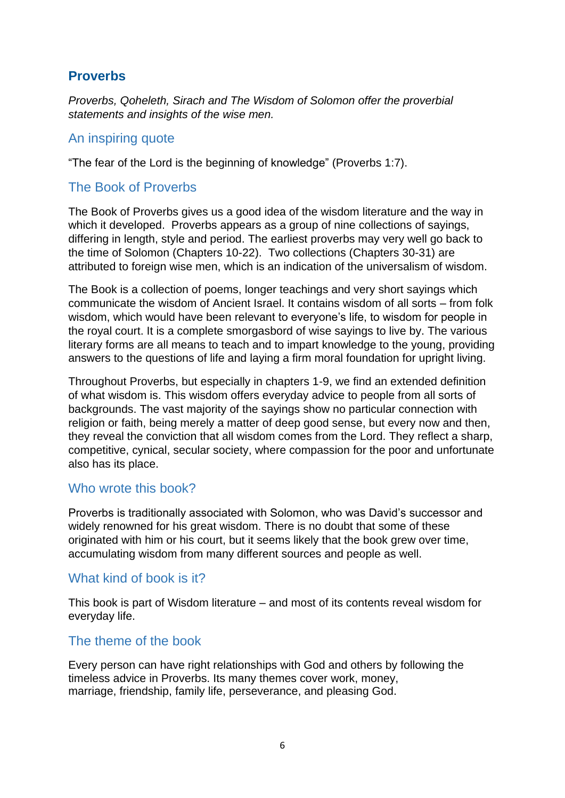# **Proverbs**

*Proverbs, Qoheleth, Sirach and The Wisdom of Solomon offer the proverbial statements and insights of the wise men.*

### An inspiring quote

"The fear of the Lord is the beginning of knowledge" (Proverbs 1:7).

# The Book of Proverbs

The Book of Proverbs gives us a good idea of the wisdom literature and the way in which it developed. Proverbs appears as a group of nine collections of sayings, differing in length, style and period. The earliest proverbs may very well go back to the time of Solomon (Chapters 10-22). Two collections (Chapters 30-31) are attributed to foreign wise men, which is an indication of the universalism of wisdom.

The Book is a collection of poems, longer teachings and very short sayings which communicate the wisdom of Ancient Israel. It contains wisdom of all sorts – from folk wisdom, which would have been relevant to everyone's life, to wisdom for people in the royal court. It is a complete smorgasbord of wise sayings to live by. The various literary forms are all means to teach and to impart knowledge to the young, providing answers to the questions of life and laying a firm moral foundation for upright living.

Throughout Proverbs, but especially in chapters 1-9, we find an extended definition of what wisdom is. This wisdom offers everyday advice to people from all sorts of backgrounds. The vast majority of the sayings show no particular connection with religion or faith, being merely a matter of deep good sense, but every now and then, they reveal the conviction that all wisdom comes from the Lord. They reflect a sharp, competitive, cynical, secular society, where compassion for the poor and unfortunate also has its place.

### Who wrote this book?

Proverbs is traditionally associated with Solomon, who was David's successor and widely renowned for his great wisdom. There is no doubt that some of these originated with him or his court, but it seems likely that the book grew over time, accumulating wisdom from many different sources and people as well.

### What kind of book is it?

This book is part of Wisdom literature – and most of its contents reveal wisdom for everyday life.

### The theme of the book

Every person can have right relationships with God and others by following the timeless advice in Proverbs. Its many themes cover work, money, marriage, friendship, family life, perseverance, and pleasing God.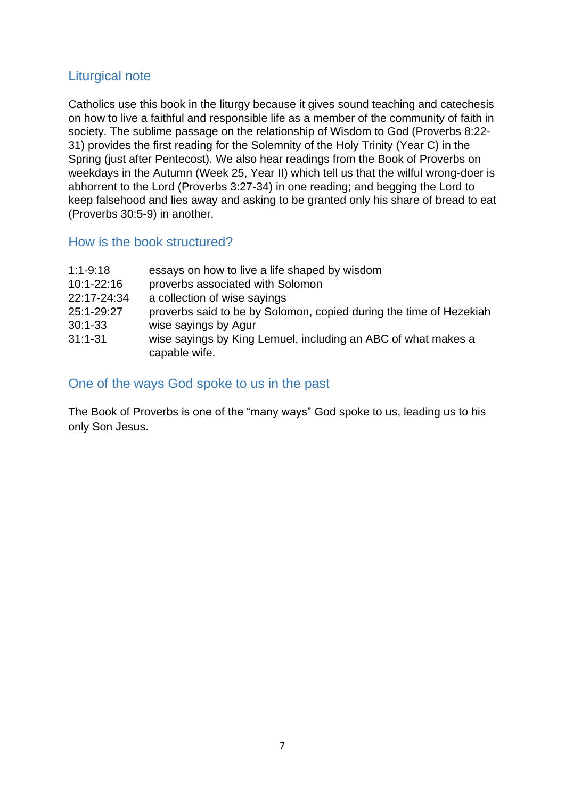## Liturgical note

Catholics use this book in the liturgy because it gives sound teaching and catechesis on how to live a faithful and responsible life as a member of the community of faith in society. The sublime passage on the relationship of Wisdom to God (Proverbs 8:22- 31) provides the first reading for the Solemnity of the Holy Trinity (Year C) in the Spring (just after Pentecost). We also hear readings from the Book of Proverbs on weekdays in the Autumn (Week 25, Year II) which tell us that the wilful wrong-doer is abhorrent to the Lord (Proverbs 3:27-34) in one reading; and begging the Lord to keep falsehood and lies away and asking to be granted only his share of bread to eat (Proverbs 30:5-9) in another.

#### How is the book structured?

| $1:1-9:18$     | essays on how to live a life shaped by wisdom                      |
|----------------|--------------------------------------------------------------------|
| $10:1 - 22:16$ | proverbs associated with Solomon                                   |
| 22:17-24:34    | a collection of wise sayings                                       |
| 25:1-29:27     | proverbs said to be by Solomon, copied during the time of Hezekiah |
| $30:1 - 33$    | wise sayings by Agur                                               |
| $31:1 - 31$    | wise sayings by King Lemuel, including an ABC of what makes a      |
|                | capable wife.                                                      |

#### One of the ways God spoke to us in the past

The Book of Proverbs is one of the "many ways" God spoke to us, leading us to his only Son Jesus.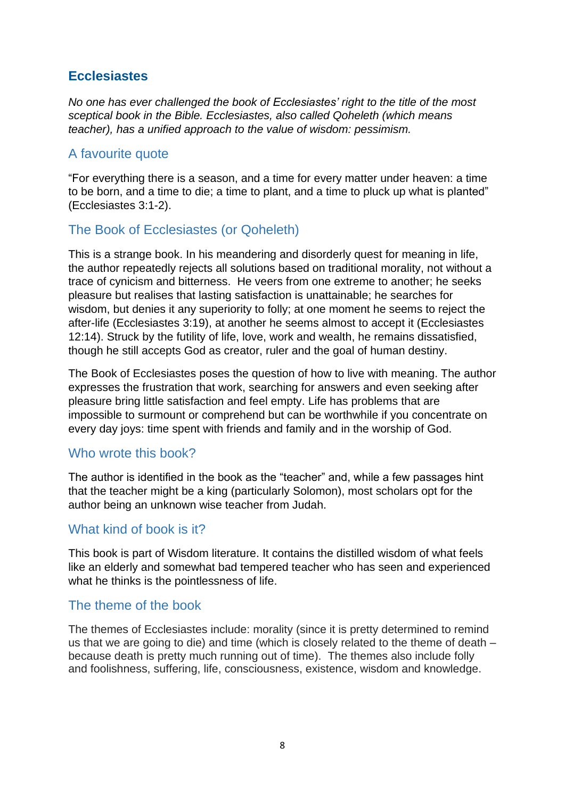# **Ecclesiastes**

*No one has ever challenged the book of Ecclesiastes' right to the title of the most sceptical book in the Bible. Ecclesiastes, also called Qoheleth (which means teacher), has a unified approach to the value of wisdom: pessimism.*

## A favourite quote

"For everything there is a season, and a time for every matter under heaven: a time to be born, and a time to die; a time to plant, and a time to pluck up what is planted" (Ecclesiastes 3:1-2).

# The Book of Ecclesiastes (or Qoheleth)

This is a strange book. In his meandering and disorderly quest for meaning in life, the author repeatedly rejects all solutions based on traditional morality, not without a trace of cynicism and bitterness. He veers from one extreme to another; he seeks pleasure but realises that lasting satisfaction is unattainable; he searches for wisdom, but denies it any superiority to folly; at one moment he seems to reject the after-life (Ecclesiastes 3:19), at another he seems almost to accept it (Ecclesiastes 12:14). Struck by the futility of life, love, work and wealth, he remains dissatisfied, though he still accepts God as creator, ruler and the goal of human destiny.

The Book of Ecclesiastes poses the question of how to live with meaning. The author expresses the frustration that work, searching for answers and even seeking after pleasure bring little satisfaction and feel empty. Life has problems that are impossible to surmount or comprehend but can be worthwhile if you concentrate on every day joys: time spent with friends and family and in the worship of God.

### Who wrote this book?

The author is identified in the book as the "teacher" and, while a few passages hint that the teacher might be a king (particularly Solomon), most scholars opt for the author being an unknown wise teacher from Judah.

### What kind of book is it?

This book is part of Wisdom literature. It contains the distilled wisdom of what feels like an elderly and somewhat bad tempered teacher who has seen and experienced what he thinks is the pointlessness of life.

### The theme of the book

The themes of Ecclesiastes include: morality (since it is pretty determined to remind us that we are going to die) and time (which is closely related to the theme of death – because death is pretty much running out of time). The themes also include folly and foolishness, suffering, life, consciousness, existence, wisdom and knowledge.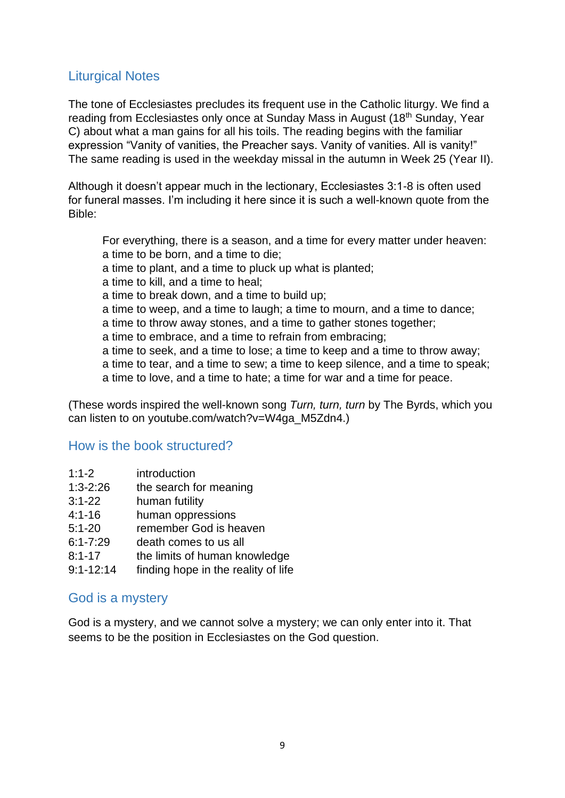## Liturgical Notes

The tone of Ecclesiastes precludes its frequent use in the Catholic liturgy. We find a reading from Ecclesiastes only once at Sunday Mass in August (18<sup>th</sup> Sunday, Year C) about what a man gains for all his toils. The reading begins with the familiar expression "Vanity of vanities, the Preacher says. Vanity of vanities. All is vanity!" The same reading is used in the weekday missal in the autumn in Week 25 (Year II).

Although it doesn't appear much in the lectionary, Ecclesiastes 3:1-8 is often used for funeral masses. I'm including it here since it is such a well-known quote from the Bible:

For everything, there is a season, and a time for every matter under heaven: a time to be born, and a time to die;

a time to plant, and a time to pluck up what is planted;

- a time to kill, and a time to heal;
- a time to break down, and a time to build up;
- a time to weep, and a time to laugh; a time to mourn, and a time to dance;
- a time to throw away stones, and a time to gather stones together;
- a time to embrace, and a time to refrain from embracing;
- a time to seek, and a time to lose; a time to keep and a time to throw away;
- a time to tear, and a time to sew; a time to keep silence, and a time to speak; a time to love, and a time to hate; a time for war and a time for peace.

(These words inspired the well-known song *Turn, turn, turn* by The Byrds, which you can listen to on youtube.com/watch?v=W4ga\_M5Zdn4.)

### How is the book structured?

- 1:1-2 introduction
- 1:3-2:26 the search for meaning
- 3:1-22 human futility
- 4:1-16 human oppressions
- 5:1-20 remember God is heaven
- 6:1-7:29 death comes to us all
- 8:1-17 the limits of human knowledge
- 9:1-12:14 finding hope in the reality of life

#### God is a mystery

God is a mystery, and we cannot solve a mystery; we can only enter into it. That seems to be the position in Ecclesiastes on the God question.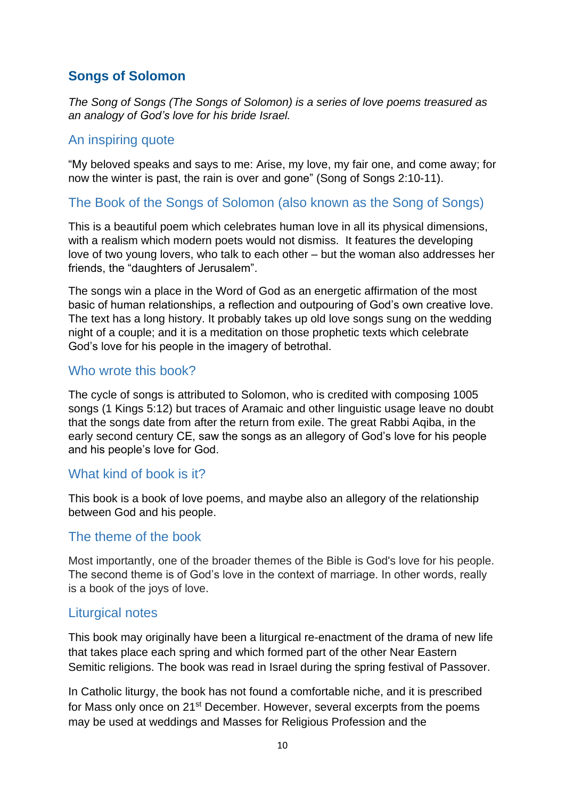# **Songs of Solomon**

*The Song of Songs (The Songs of Solomon) is a series of love poems treasured as an analogy of God's love for his bride Israel.*

### An inspiring quote

"My beloved speaks and says to me: Arise, my love, my fair one, and come away; for now the winter is past, the rain is over and gone" (Song of Songs 2:10-11).

### The Book of the Songs of Solomon (also known as the Song of Songs)

This is a beautiful poem which celebrates human love in all its physical dimensions, with a realism which modern poets would not dismiss. It features the developing love of two young lovers, who talk to each other – but the woman also addresses her friends, the "daughters of Jerusalem".

The songs win a place in the Word of God as an energetic affirmation of the most basic of human relationships, a reflection and outpouring of God's own creative love. The text has a long history. It probably takes up old love songs sung on the wedding night of a couple; and it is a meditation on those prophetic texts which celebrate God's love for his people in the imagery of betrothal.

#### Who wrote this book?

The cycle of songs is attributed to Solomon, who is credited with composing 1005 songs (1 Kings 5:12) but traces of Aramaic and other linguistic usage leave no doubt that the songs date from after the return from exile. The great Rabbi Aqiba, in the early second century CE, saw the songs as an allegory of God's love for his people and his people's love for God.

#### What kind of book is it?

This book is a book of love poems, and maybe also an allegory of the relationship between God and his people.

#### The theme of the book

Most importantly, one of the broader themes of the Bible is God's love for his people. The second theme is of God's love in the context of marriage. In other words, really is a book of the joys of love.

#### Liturgical notes

This book may originally have been a liturgical re-enactment of the drama of new life that takes place each spring and which formed part of the other Near Eastern Semitic religions. The book was read in Israel during the spring festival of Passover.

In Catholic liturgy, the book has not found a comfortable niche, and it is prescribed for Mass only once on 21<sup>st</sup> December. However, several excerpts from the poems may be used at weddings and Masses for Religious Profession and the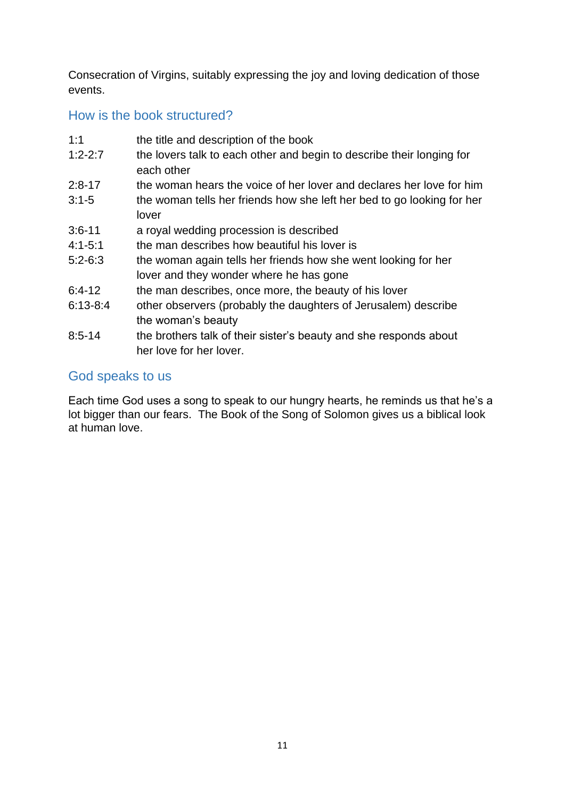Consecration of Virgins, suitably expressing the joy and loving dedication of those events.

# How is the book structured?

| 1:1         | the title and description of the book                                                                     |
|-------------|-----------------------------------------------------------------------------------------------------------|
| $1:2 - 2:7$ | the lovers talk to each other and begin to describe their longing for<br>each other                       |
| $2:8-17$    | the woman hears the voice of her lover and declares her love for him                                      |
| $3:1 - 5$   | the woman tells her friends how she left her bed to go looking for her<br>lover                           |
| $3:6 - 11$  | a royal wedding procession is described                                                                   |
| $4:1 - 5:1$ | the man describes how beautiful his lover is                                                              |
| $5:2-6:3$   | the woman again tells her friends how she went looking for her<br>lover and they wonder where he has gone |
| $6:4-12$    | the man describes, once more, the beauty of his lover                                                     |
| $6:13-8:4$  | other observers (probably the daughters of Jerusalem) describe<br>the woman's beauty                      |
| $8:5 - 14$  | the brothers talk of their sister's beauty and she responds about<br>her love for her lover.              |

## God speaks to us

Each time God uses a song to speak to our hungry hearts, he reminds us that he's a lot bigger than our fears. The Book of the Song of Solomon gives us a biblical look at human love.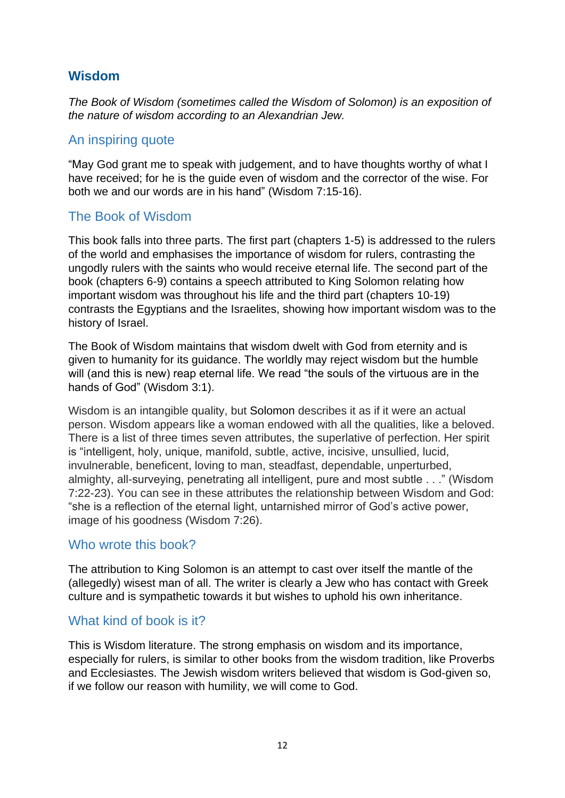# **Wisdom**

*The Book of Wisdom (sometimes called the Wisdom of Solomon) is an exposition of the nature of wisdom according to an Alexandrian Jew.*

### An inspiring quote

"May God grant me to speak with judgement, and to have thoughts worthy of what I have received; for he is the guide even of wisdom and the corrector of the wise. For both we and our words are in his hand" (Wisdom 7:15-16).

## The Book of Wisdom

This book falls into three parts. The first part (chapters 1-5) is addressed to the rulers of the world and emphasises the importance of wisdom for rulers, contrasting the ungodly rulers with the saints who would receive eternal life. The second part of the book (chapters 6-9) contains a speech attributed to King Solomon relating how important wisdom was throughout his life and the third part (chapters 10-19) contrasts the Egyptians and the Israelites, showing how important wisdom was to the history of Israel.

The Book of Wisdom maintains that wisdom dwelt with God from eternity and is given to humanity for its guidance. The worldly may reject wisdom but the humble will (and this is new) reap eternal life. We read "the souls of the virtuous are in the hands of God" (Wisdom 3:1).

Wisdom is an intangible quality, but Solomon describes it as if it were an actual person. Wisdom appears like a woman endowed with all the qualities, like a beloved. There is a list of three times seven attributes, the superlative of perfection. Her spirit is "intelligent, holy, unique, manifold, subtle, active, incisive, unsullied, lucid, invulnerable, beneficent, loving to man, steadfast, dependable, unperturbed, almighty, all-surveying, penetrating all intelligent, pure and most subtle . . ." (Wisdom 7:22-23). You can see in these attributes the relationship between Wisdom and God: "she is a reflection of the eternal light, untarnished mirror of God's active power, image of his goodness (Wisdom 7:26).

# Who wrote this book?

The attribution to King Solomon is an attempt to cast over itself the mantle of the (allegedly) wisest man of all. The writer is clearly a Jew who has contact with Greek culture and is sympathetic towards it but wishes to uphold his own inheritance.

### What kind of book is it?

This is Wisdom literature. The strong emphasis on wisdom and its importance, especially for rulers, is similar to other books from the wisdom tradition, like Proverbs and Ecclesiastes. The Jewish wisdom writers believed that wisdom is God-given so, if we follow our reason with humility, we will come to God.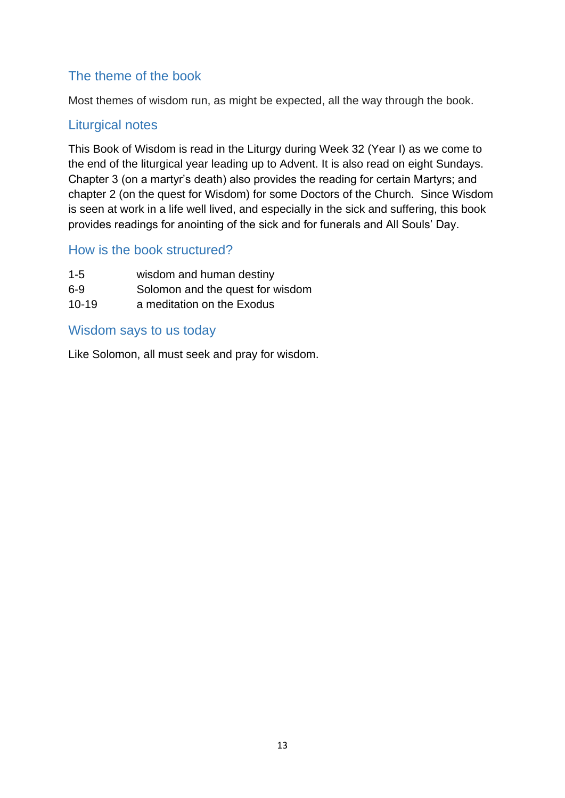# The theme of the book

Most themes of wisdom run, as might be expected, all the way through the book.

### Liturgical notes

This Book of Wisdom is read in the Liturgy during Week 32 (Year I) as we come to the end of the liturgical year leading up to Advent. It is also read on eight Sundays. Chapter 3 (on a martyr's death) also provides the reading for certain Martyrs; and chapter 2 (on the quest for Wisdom) for some Doctors of the Church. Since Wisdom is seen at work in a life well lived, and especially in the sick and suffering, this book provides readings for anointing of the sick and for funerals and All Souls' Day.

## How is the book structured?

| $1 - 5$   | wisdom and human destiny         |
|-----------|----------------------------------|
| $6-9$     | Solomon and the quest for wisdom |
| $10 - 19$ | a meditation on the Exodus       |

#### Wisdom says to us today

Like Solomon, all must seek and pray for wisdom.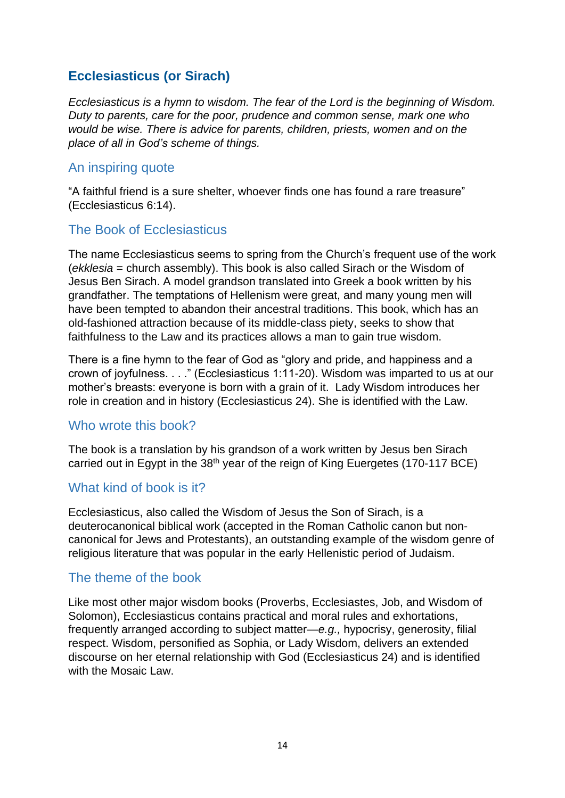# **Ecclesiasticus (or Sirach)**

*Ecclesiasticus is a hymn to wisdom. The fear of the Lord is the beginning of Wisdom. Duty to parents, care for the poor, prudence and common sense, mark one who would be wise. There is advice for parents, children, priests, women and on the place of all in God's scheme of things.*

#### An inspiring quote

"A faithful friend is a sure shelter, whoever finds one has found a rare treasure" (Ecclesiasticus 6:14).

### The Book of Ecclesiasticus

The name Ecclesiasticus seems to spring from the Church's frequent use of the work (*ekklesia =* church assembly). This book is also called Sirach or the Wisdom of Jesus Ben Sirach. A model grandson translated into Greek a book written by his grandfather. The temptations of Hellenism were great, and many young men will have been tempted to abandon their ancestral traditions. This book, which has an old-fashioned attraction because of its middle-class piety, seeks to show that faithfulness to the Law and its practices allows a man to gain true wisdom.

There is a fine hymn to the fear of God as "glory and pride, and happiness and a crown of joyfulness. . . ." (Ecclesiasticus 1:11-20). Wisdom was imparted to us at our mother's breasts: everyone is born with a grain of it. Lady Wisdom introduces her role in creation and in history (Ecclesiasticus 24). She is identified with the Law.

### Who wrote this book?

The book is a translation by his grandson of a work written by Jesus ben Sirach carried out in Egypt in the 38<sup>th</sup> year of the reign of King Euergetes (170-117 BCE)

### What kind of book is it?

Ecclesiasticus, also called the Wisdom of Jesus the Son of Sirach, is a deuterocanonical biblical work (accepted in the Roman Catholic canon but noncanonical for Jews and Protestants), an outstanding example of the wisdom genre of religious literature that was popular in the early Hellenistic period of Judaism.

### The theme of the book

Like most other major wisdom books (Proverbs, Ecclesiastes, Job, and Wisdom of Solomon), Ecclesiasticus contains practical and moral rules and exhortations, frequently arranged according to subject matter—*e.g.,* hypocrisy, generosity, filial respect. Wisdom, personified as Sophia, or Lady Wisdom, delivers an extended discourse on her eternal relationship with God (Ecclesiasticus 24) and is identified with the Mosaic Law.